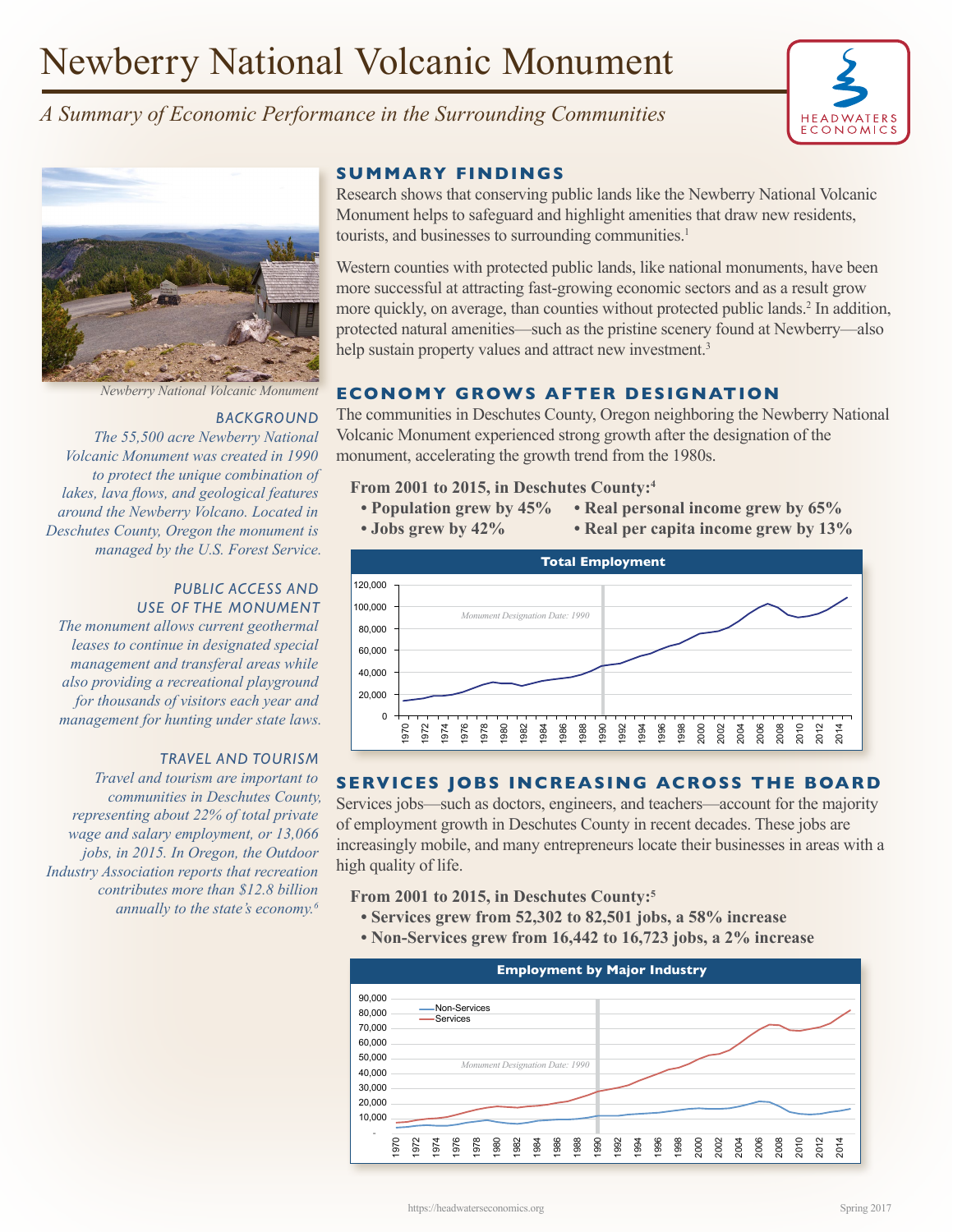# Newberry National Volcanic Monument

# *A Summary of Economic Performance in the Surrounding Communities*





### *BACKGROUND*

*The 55,500 acre Newberry National Volcanic Monument was created in 1990 to protect the unique combination of lakes, lava flows, and geological features around the Newberry Volcano. Located in Deschutes County, Oregon the monument is managed by the U.S. Forest Service.* 

#### *PUBLIC ACCESS AND USE OF THE MONUMENT*

*The monument allows current geothermal leases to continue in designated special management and transferal areas while also providing a recreational playground for thousands of visitors each year and management for hunting under state laws.*

#### *TRAVEL AND TOURISM*

*Travel and tourism are important to communities in Deschutes County, representing about 22% of total private wage and salary employment, or 13,066 jobs, in 2015. In Oregon, the Outdoor Industry Association reports that recreation contributes more than \$12.8 billion annually to the state's economy.6*

### **SUMMARY FINDINGS**

Research shows that conserving public lands like the Newberry National Volcanic Monument helps to safeguard and highlight amenities that draw new residents, tourists, and businesses to surrounding communities.<sup>1</sup>

Western counties with protected public lands, like national monuments, have been more successful at attracting fast-growing economic sectors and as a result grow more quickly, on average, than counties without protected public lands.<sup>2</sup> In addition, protected natural amenities—such as the pristine scenery found at Newberry—also help sustain property values and attract new investment.<sup>3</sup>

# *Newberry National Volcanic Monument* **ECONOMY GROWS AFTER DESIGNATION**

The communities in Deschutes County, Oregon neighboring the Newberry National Volcanic Monument experienced strong growth after the designation of the monument, accelerating the growth trend from the 1980s.

#### **From 2001 to 2015, in Deschutes County:4**

- **Population grew by 45% Real personal income grew by 65%**
- **Jobs grew by 42% Real per capita income grew by 13%**



#### **SERVICES JOBS INCREASING ACROSS THE BOARD**

Services jobs—such as doctors, engineers, and teachers—account for the majority of employment growth in Deschutes County in recent decades. These jobs are increasingly mobile, and many entrepreneurs locate their businesses in areas with a high quality of life.

**From 2001 to 2015, in Deschutes County:5**

- **Services grew from 52,302 to 82,501 jobs, a 58% increase**
- **Non-Services grew from 16,442 to 16,723 jobs, a 2% increase**